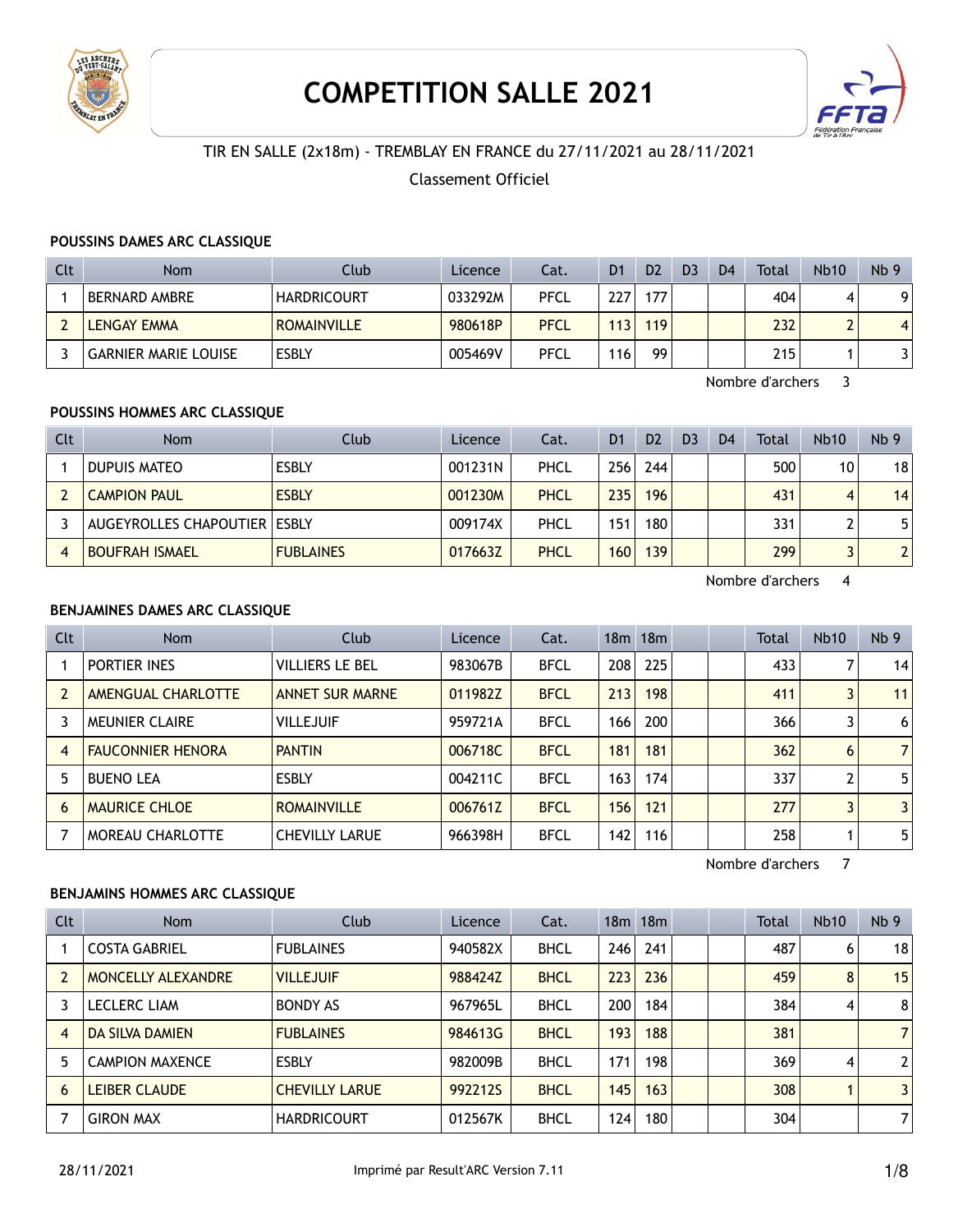

# **COMPETITION SALLE 2021**



# TIR EN SALLE (2x18m) - TREMBLAY EN FRANCE du 27/11/2021 au 28/11/2021

## Classement Officiel

#### **POUSSINS DAMES ARC CLASSIQUE**

| Clt | <b>Nom</b>                  | Club               | Licence | Cat.        | D <sub>1</sub> | D <sub>2</sub> | D <sub>3</sub> | D <sub>4</sub> | Total | <b>Nb10</b>              | Nb <sub>9</sub> |
|-----|-----------------------------|--------------------|---------|-------------|----------------|----------------|----------------|----------------|-------|--------------------------|-----------------|
|     | BERNARD AMBRE               | <b>HARDRICOURT</b> | 033292M | PFCL        | 227            | 177            |                |                | 404   |                          |                 |
|     | <b>LENGAY EMMA</b>          | <b>ROMAINVILLE</b> | 980618P | <b>PFCL</b> | 113            | 119            |                |                | 232   | $\overline{\phantom{0}}$ |                 |
|     | <b>GARNIER MARIE LOUISE</b> | <b>ESBLY</b>       | 005469V | <b>PFCL</b> | 116            | 99             |                |                | 215   |                          |                 |

Nombre d'archers 3

## **POUSSINS HOMMES ARC CLASSIQUE**

| Clt | <b>Nom</b>                   | Club             | Licence | Cat. | D <sub>1</sub> | D <sub>2</sub> | D <sub>3</sub> | D <sub>4</sub> | Total | <b>Nb10</b> | Nb <sub>9</sub> |
|-----|------------------------------|------------------|---------|------|----------------|----------------|----------------|----------------|-------|-------------|-----------------|
|     | DUPUIS MATEO                 | <b>ESBLY</b>     | 001231N | PHCL | 2561           | 244            |                |                | 500   | 10          | 18              |
|     | <b>CAMPION PAUL</b>          | <b>ESBLY</b>     | 001230M | PHCL | 235            | 196            |                |                | 431   | 4           | 14              |
|     | AUGEYROLLES CHAPOUTIER ESBLY |                  | 009174X | PHCL | 151            | 180            |                |                | 331   |             | 5               |
|     | <b>BOUFRAH ISMAEL</b>        | <b>FUBLAINES</b> | 017663Z | PHCL | 160            | 139            |                |                | 299   |             |                 |

Nombre d'archers 4

# **BENJAMINES DAMES ARC CLASSIQUE**

| <b>Clt</b>     | Nom                      | Club                   | Licence | Cat.        |     | 18m 18m |  | <b>Total</b> | Nb10 | Nb <sub>9</sub> |
|----------------|--------------------------|------------------------|---------|-------------|-----|---------|--|--------------|------|-----------------|
|                | PORTIER INES             | <b>VILLIERS LE BEL</b> | 983067B | <b>BFCL</b> | 208 | 225     |  | 433          |      | 14              |
|                | AMENGUAL CHARLOTTE       | <b>ANNET SUR MARNE</b> | 011982Z | <b>BFCL</b> | 213 | 198     |  | 411          |      | 11              |
|                | <b>MEUNIER CLAIRE</b>    | <b>VILLEJUIF</b>       | 959721A | <b>BFCL</b> | 166 | 200     |  | 366          |      | 6               |
| $\overline{4}$ | <b>FAUCONNIER HENORA</b> | <b>PANTIN</b>          | 006718C | <b>BFCL</b> | 181 | 181     |  | 362          | 6    | $\overline{7}$  |
|                | <b>BUENO LEA</b>         | <b>ESBLY</b>           | 004211C | <b>BFCL</b> | 163 | 174     |  | 337          | ົ    | 5               |
| 6              | <b>MAURICE CHLOE</b>     | <b>ROMAINVILLE</b>     | 006761Z | <b>BFCL</b> | 156 | 121     |  | 277          |      | 3               |
|                | MOREAU CHARLOTTE         | <b>CHEVILLY LARUE</b>  | 966398H | <b>BFCL</b> | 142 | 116     |  | 258          |      | 5               |

Nombre d'archers 7

#### **BENJAMINS HOMMES ARC CLASSIQUE**

| <b>Clt</b>     | <b>Nom</b>             | Club                  | Licence | Cat.        |     | 18m 18m |  | <b>Total</b> | <b>Nb10</b> | Nb <sub>9</sub> |
|----------------|------------------------|-----------------------|---------|-------------|-----|---------|--|--------------|-------------|-----------------|
|                | <b>COSTA GABRIEL</b>   | <b>FUBLAINES</b>      | 940582X | <b>BHCL</b> | 246 | 241     |  | 487          | 6           | 18              |
|                | MONCELLY ALEXANDRE     | <b>VILLEJUIF</b>      | 988424Z | <b>BHCL</b> | 223 | 236     |  | 459          | 8           | 15              |
|                | <b>LECLERC LIAM</b>    | <b>BONDY AS</b>       | 967965L | <b>BHCL</b> | 200 | 184     |  | 384          | 4           | 8               |
| $\overline{4}$ | <b>DA SILVA DAMIEN</b> | <b>FUBLAINES</b>      | 984613G | <b>BHCL</b> | 193 | 188     |  | 381          |             | $\overline{7}$  |
| 5              | <b>CAMPION MAXENCE</b> | <b>ESBLY</b>          | 982009B | <b>BHCL</b> | 171 | 198     |  | 369          | 4           | $\overline{2}$  |
| 6              | <b>LEIBER CLAUDE</b>   | <b>CHEVILLY LARUE</b> | 992212S | <b>BHCL</b> | 145 | 163     |  | 308          |             | 3               |
|                | <b>GIRON MAX</b>       | <b>HARDRICOURT</b>    | 012567K | <b>BHCL</b> | 124 | 180     |  | 304          |             | 7               |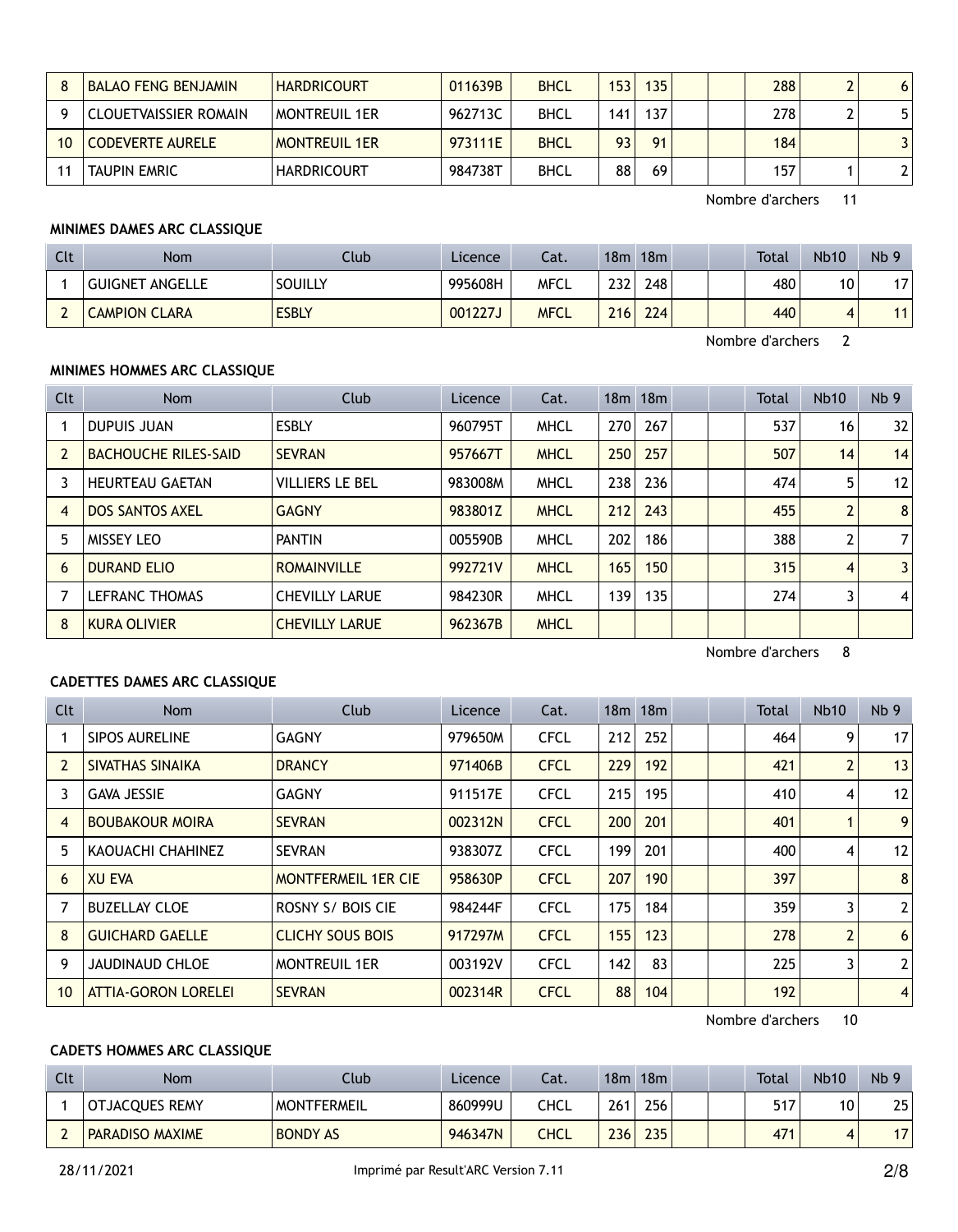|    | <b>BALAO FENG BENJAMIN</b> | <b>HARDRICOURT</b>   | 011639B | <b>BHCL</b> | 153             | 135 |  | 288 | 6 |
|----|----------------------------|----------------------|---------|-------------|-----------------|-----|--|-----|---|
|    | CLOUETVAISSIER ROMAIN      | <b>MONTREUIL 1ER</b> | 962713C | <b>BHCL</b> | 141             | 137 |  | 278 |   |
| 10 | <b>CODEVERTE AURELE</b>    | <b>MONTREUIL 1ER</b> | 973111E | <b>BHCL</b> | 93 <sub>1</sub> | 91  |  | 184 |   |
|    | <b>TAUPIN EMRIC</b>        | <b>HARDRICOURT</b>   | 984738T | <b>BHCL</b> | 88              | 69  |  | 157 |   |

# **MINIMES DAMES ARC CLASSIQUE**

| <b>Clt</b> | Nom                  | Club         | Licence | Cat.        | 18m | 18m |  | Total | <b>Nb10</b> | Nb <sub>9</sub> |
|------------|----------------------|--------------|---------|-------------|-----|-----|--|-------|-------------|-----------------|
|            | GUIGNET ANGELLE      | SOUILLY      | 995608H | MFCL        | 232 | 248 |  | 480   | 10          | 1 T             |
|            | <b>CAMPION CLARA</b> | <b>ESBLY</b> | 001227J | <b>MFCL</b> | 216 | 224 |  | 440   |             |                 |

Nombre d'archers 2

#### **MINIMES HOMMES ARC CLASSIQUE**

| <b>Clt</b> | Nom                         | Club                   | Licence | Cat.        |     | 18m 18m |  | <b>Total</b> | <b>Nb10</b>    | Nb <sub>9</sub> |
|------------|-----------------------------|------------------------|---------|-------------|-----|---------|--|--------------|----------------|-----------------|
|            | <b>DUPUIS JUAN</b>          | <b>ESBLY</b>           | 960795T | <b>MHCL</b> | 270 | 267     |  | 537          | 16             | 32              |
|            | <b>BACHOUCHE RILES-SAID</b> | <b>SEVRAN</b>          | 957667T | <b>MHCL</b> | 250 | 257     |  | 507          | 14             | 14              |
|            | <b>HEURTEAU GAETAN</b>      | <b>VILLIERS LE BEL</b> | 983008M | <b>MHCL</b> | 238 | 236     |  | 474          | 5              | 12              |
| 4          | <b>DOS SANTOS AXEL</b>      | <b>GAGNY</b>           | 983801Z | <b>MHCL</b> | 212 | 243     |  | 455          | $\overline{2}$ | 8               |
| 5          | <b>MISSEY LEO</b>           | <b>PANTIN</b>          | 005590B | <b>MHCL</b> | 202 | 186     |  | 388          | 2              | $\overline{7}$  |
| 6          | <b>DURAND ELIO</b>          | <b>ROMAINVILLE</b>     | 992721V | <b>MHCL</b> | 165 | 150     |  | 315          | 4              | $\overline{3}$  |
|            | <b>LEFRANC THOMAS</b>       | <b>CHEVILLY LARUE</b>  | 984230R | <b>MHCL</b> | 139 | 135     |  | 274          | 3              | $\overline{4}$  |
| 8          | <b>KURA OLIVIER</b>         | <b>CHEVILLY LARUE</b>  | 962367B | <b>MHCL</b> |     |         |  |              |                |                 |

Nombre d'archers 8

#### **CADETTES DAMES ARC CLASSIQUE**

| Clt            | Nom                        | <b>Club</b>                | Licence | Cat.        |     | 18m 18m |  | Total | <b>Nb10</b>    | Nb <sub>9</sub> |
|----------------|----------------------------|----------------------------|---------|-------------|-----|---------|--|-------|----------------|-----------------|
|                | SIPOS AURELINE             | <b>GAGNY</b>               | 979650M | <b>CFCL</b> | 212 | 252     |  | 464   | 9              | 17              |
| $\overline{2}$ | SIVATHAS SINAIKA           | <b>DRANCY</b>              | 971406B | <b>CFCL</b> | 229 | 192     |  | 421   | 2              | 13              |
| 3              | <b>GAVA JESSIE</b>         | <b>GAGNY</b>               | 911517E | <b>CFCL</b> | 215 | 195     |  | 410   | 4              | 12              |
| $\overline{4}$ | <b>BOUBAKOUR MOIRA</b>     | <b>SEVRAN</b>              | 002312N | <b>CFCL</b> | 200 | 201     |  | 401   |                | 9               |
| 5              | KAOUACHI CHAHINEZ          | <b>SEVRAN</b>              | 938307Z | <b>CFCL</b> | 199 | 201     |  | 400   | 4              | 12              |
| 6              | <b>XU EVA</b>              | <b>MONTFERMEIL 1ER CIE</b> | 958630P | <b>CFCL</b> | 207 | 190     |  | 397   |                | 8               |
|                | <b>BUZELLAY CLOE</b>       | ROSNY S/ BOIS CIE          | 984244F | <b>CFCL</b> | 175 | 184     |  | 359   | 3              | $\overline{2}$  |
| 8              | <b>GUICHARD GAELLE</b>     | <b>CLICHY SOUS BOIS</b>    | 917297M | <b>CFCL</b> | 155 | 123     |  | 278   | $\overline{2}$ | 6               |
| 9              | <b>JAUDINAUD CHLOE</b>     | <b>MONTREUIL 1ER</b>       | 003192V | <b>CFCL</b> | 142 | 83      |  | 225   | 3              | $\overline{2}$  |
| 10             | <b>ATTIA-GORON LORELEI</b> | <b>SEVRAN</b>              | 002314R | <b>CFCL</b> | 88  | 104     |  | 192   |                | $\overline{4}$  |

Nombre d'archers 10

# **CADETS HOMMES ARC CLASSIQUE**

| Clt | Nom                    | Club               | Licence | Cat. | 18m | 18m |  | Total | <b>Nb10</b> | Nb <sub>9</sub> |
|-----|------------------------|--------------------|---------|------|-----|-----|--|-------|-------------|-----------------|
|     | <b>OTJACOUES REMY</b>  | <b>MONTFERMEIL</b> | 860999U | CHCL | 261 | 256 |  | 517   | 10          | 25              |
|     | <b>PARADISO MAXIME</b> | <b>BONDY AS</b>    | 946347N | CHCL | 236 | 235 |  | 471   | 4           |                 |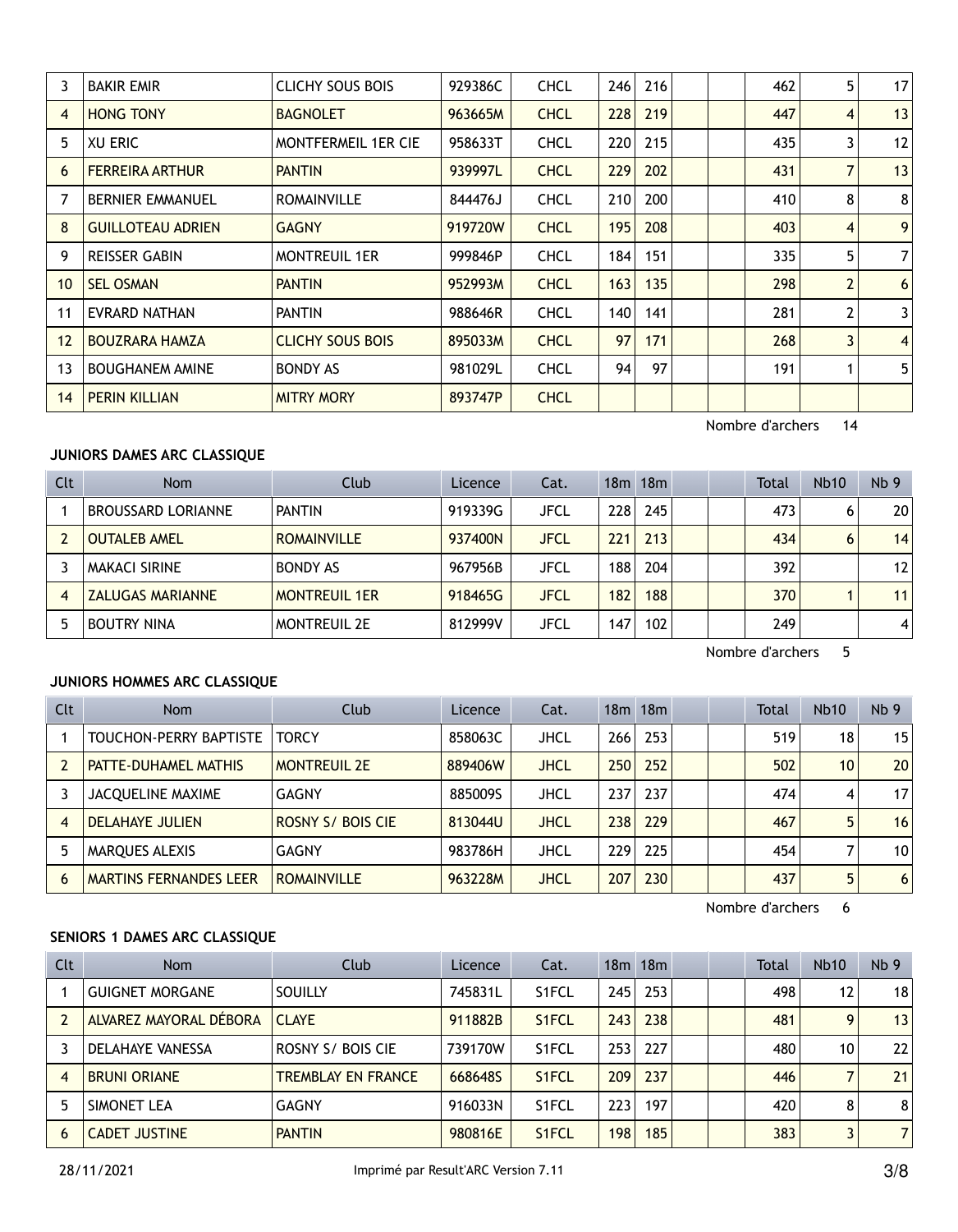|    | <b>BAKIR EMIR</b>        | <b>CLICHY SOUS BOIS</b>    | 929386C | <b>CHCL</b> | 246 | 216 |  | 462 | 5              | 17             |
|----|--------------------------|----------------------------|---------|-------------|-----|-----|--|-----|----------------|----------------|
| 4  | <b>HONG TONY</b>         | <b>BAGNOLET</b>            | 963665M | <b>CHCL</b> | 228 | 219 |  | 447 | 4              | 13             |
| 5  | XU ERIC                  | <b>MONTFERMEIL 1ER CIE</b> | 958633T | <b>CHCL</b> | 220 | 215 |  | 435 | 3              | 12             |
| 6  | <b>FERREIRA ARTHUR</b>   | <b>PANTIN</b>              | 939997L | <b>CHCL</b> | 229 | 202 |  | 431 | 7              | 13             |
|    | <b>BERNIER EMMANUEL</b>  | <b>ROMAINVILLE</b>         | 844476J | <b>CHCL</b> | 210 | 200 |  | 410 | 8              | 8              |
| 8  | <b>GUILLOTEAU ADRIEN</b> | <b>GAGNY</b>               | 919720W | <b>CHCL</b> | 195 | 208 |  | 403 | 4              | 9              |
| 9  | <b>REISSER GABIN</b>     | <b>MONTREUIL 1ER</b>       | 999846P | <b>CHCL</b> | 184 | 151 |  | 335 | 5              | $\overline{7}$ |
| 10 | <b>SEL OSMAN</b>         | <b>PANTIN</b>              | 952993M | <b>CHCL</b> | 163 | 135 |  | 298 | $\overline{2}$ | 6              |
| 11 | EVRARD NATHAN            | <b>PANTIN</b>              | 988646R | <b>CHCL</b> | 140 | 141 |  | 281 | 2              | 3              |
| 12 | <b>BOUZRARA HAMZA</b>    | <b>CLICHY SOUS BOIS</b>    | 895033M | <b>CHCL</b> | 97  | 171 |  | 268 | $\overline{3}$ | $\overline{4}$ |
| 13 | <b>BOUGHANEM AMINE</b>   | <b>BONDY AS</b>            | 981029L | <b>CHCL</b> | 94  | 97  |  | 191 |                | 5              |
| 14 | <b>PERIN KILLIAN</b>     | <b>MITRY MORY</b>          | 893747P | <b>CHCL</b> |     |     |  |     |                |                |
|    |                          |                            |         |             |     |     |  |     |                |                |

# **JUNIORS DAMES ARC CLASSIQUE**

| Clt | <b>Nom</b>              | Club                 | Licence | Cat.        |     | 18m 18m |  | Total | <b>Nb10</b> | Nb <sub>9</sub> |
|-----|-------------------------|----------------------|---------|-------------|-----|---------|--|-------|-------------|-----------------|
|     | BROUSSARD LORIANNE      | <b>PANTIN</b>        | 919339G | <b>JFCL</b> | 228 | 245     |  | 473   | 6           | 20              |
|     | <b>OUTALEB AMEL</b>     | <b>ROMAINVILLE</b>   | 937400N | <b>JFCL</b> | 221 | 213     |  | 434   | 6           | 14              |
|     | MAKACI SIRINE           | <b>BONDY AS</b>      | 967956B | JFCL        | 188 | 204     |  | 392   |             | 12              |
| 4   | <b>ZALUGAS MARIANNE</b> | <b>MONTREUIL 1ER</b> | 918465G | <b>JFCL</b> | 182 | 188     |  | 370   |             | 11              |
|     | <b>BOUTRY NINA</b>      | <b>MONTREUIL 2E</b>  | 812999V | JFCL        | 147 | 102     |  | 249   |             | 4               |

Nombre d'archers 5

## **JUNIORS HOMMES ARC CLASSIQUE**

| <b>Clt</b> | Nom                           | Club                | Licence | Cat.        |     | $18m$ $18m$ |  | <b>Total</b> | <b>Nb10</b>     | Nb <sub>9</sub> |
|------------|-------------------------------|---------------------|---------|-------------|-----|-------------|--|--------------|-----------------|-----------------|
|            | TOUCHON-PERRY BAPTISTE        | <b>TORCY</b>        | 858063C | <b>JHCL</b> | 266 | 253         |  | 519          | 18              | 15              |
|            | <b>PATTE-DUHAMEL MATHIS</b>   | <b>MONTREUIL 2E</b> | 889406W | <b>JHCL</b> | 250 | 252         |  | 502          | 10 <sup>1</sup> | 20              |
|            | <b>JACOUELINE MAXIME</b>      | GAGNY               | 885009S | <b>JHCL</b> | 237 | 237         |  | 474          | 4               | 17              |
| 4          | <b>DELAHAYE JULIEN</b>        | ROSNY S/ BOIS CIE   | 813044U | <b>JHCL</b> | 238 | 229         |  | 467          | 5               | 16              |
|            | <b>MAROUES ALEXIS</b>         | <b>GAGNY</b>        | 983786H | <b>JHCL</b> | 229 | 225         |  | 454          |                 | 10              |
| 6          | <b>MARTINS FERNANDES LEER</b> | <b>ROMAINVILLE</b>  | 963228M | <b>JHCL</b> | 207 | 230         |  | 437          | 5               | 6               |

Nombre d'archers 6

## **SENIORS 1 DAMES ARC CLASSIQUE**

| Clt | Nom                     | Club                      | Licence | Cat.               |     | 18m 18m |  | <b>Total</b> | <b>Nb10</b>       | Nb <sub>9</sub> |
|-----|-------------------------|---------------------------|---------|--------------------|-----|---------|--|--------------|-------------------|-----------------|
|     | <b>GUIGNET MORGANE</b>  | <b>SOUILLY</b>            | 745831L | S1FCL              | 245 | 253     |  | 498          | $12 \overline{ }$ | 18              |
|     | ALVAREZ MAYORAL DÉBORA  | <b>CLAYE</b>              | 911882B | S <sub>1</sub> FCL | 243 | 238     |  | 481          | 9                 | 13              |
|     | <b>DELAHAYE VANESSA</b> | ROSNY S/ BOIS CIE         | 739170W | S1FCL              | 253 | 227     |  | 480          | 10                | 22              |
| 4   | <b>BRUNI ORIANE</b>     | <b>TREMBLAY EN FRANCE</b> | 668648S | S <sub>1</sub> FCL | 209 | 237     |  | 446          |                   | 21              |
|     | SIMONET LEA             | GAGNY                     | 916033N | S1FCL              | 223 | 197     |  | 420          | 8                 | 8               |
| 6   | <b>CADET JUSTINE</b>    | <b>PANTIN</b>             | 980816E | S <sub>1</sub> FCL | 198 | 185     |  | 383          |                   | $\overline{7}$  |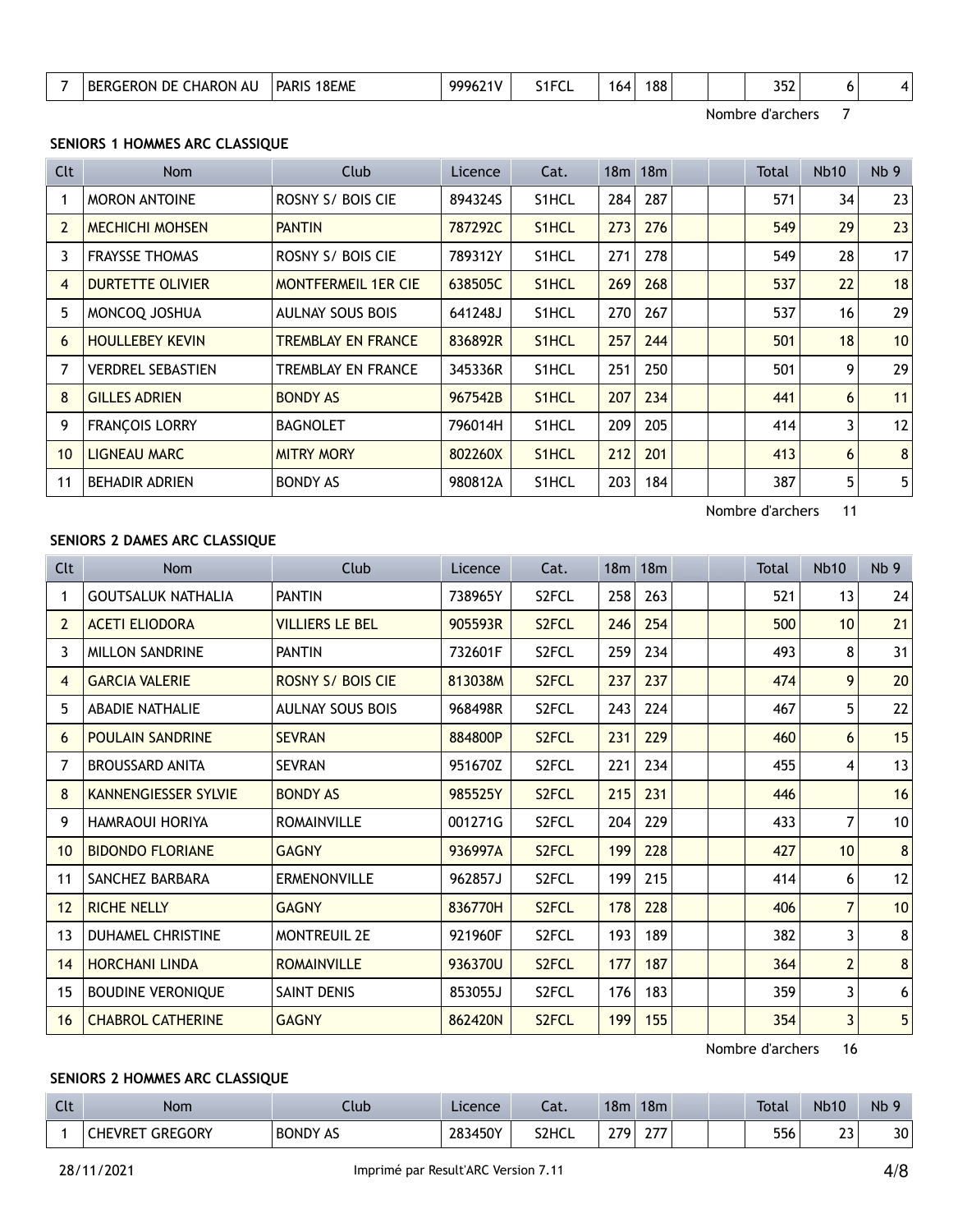| 188<br>'8EME<br>PARIS<br>BF<br>DE<br>HARON.<br>GERON<br>ΑL<br>164<br><b>NU</b><br>ີ<br>ے ت<br>$\sim$ MeV |
|----------------------------------------------------------------------------------------------------------|
|----------------------------------------------------------------------------------------------------------|

## **SENIORS 1 HOMMES ARC CLASSIQUE**

| <b>Clt</b> | Nom                      | Club                       | Licence | Cat.               |     | 18m 18m |  | Total | <b>Nb10</b> | Nb <sub>9</sub> |
|------------|--------------------------|----------------------------|---------|--------------------|-----|---------|--|-------|-------------|-----------------|
|            | <b>MORON ANTOINE</b>     | ROSNY S/ BOIS CIE          | 894324S | S <sub>1</sub> HCL | 284 | 287     |  | 571   | 34          | 23              |
|            | <b>MECHICHI MOHSEN</b>   | <b>PANTIN</b>              | 787292C | S <sub>1</sub> HCL | 273 | 276     |  | 549   | 29          | 23              |
| 3          | <b>FRAYSSE THOMAS</b>    | ROSNY S/ BOIS CIE          | 789312Y | S1HCL              | 271 | 278     |  | 549   | 28          | 17              |
| 4          | <b>DURTETTE OLIVIER</b>  | <b>MONTFERMEIL 1ER CIE</b> | 638505C | S <sub>1</sub> HCL | 269 | 268     |  | 537   | 22          | 18              |
| 5          | MONCOQ JOSHUA            | <b>AULNAY SOUS BOIS</b>    | 641248J | S <sub>1</sub> HCL | 270 | 267     |  | 537   | 16          | 29              |
| 6          | <b>HOULLEBEY KEVIN</b>   | TREMBLAY EN FRANCE         | 836892R | S <sub>1</sub> HCL | 257 | 244     |  | 501   | 18          | 10              |
|            | <b>VERDREL SEBASTIEN</b> | TREMBLAY EN FRANCE         | 345336R | S <sub>1</sub> HCL | 251 | 250     |  | 501   | 9           | 29              |
| 8          | <b>GILLES ADRIEN</b>     | <b>BONDY AS</b>            | 967542B | S <sub>1</sub> HCL | 207 | 234     |  | 441   | 6           | 11              |
| 9          | <b>FRANÇOIS LORRY</b>    | <b>BAGNOLET</b>            | 796014H | S <sub>1</sub> HCL | 209 | 205     |  | 414   | 3           | 12              |
| 10         | <b>LIGNEAU MARC</b>      | <b>MITRY MORY</b>          | 802260X | S <sub>1</sub> HCL | 212 | 201     |  | 413   | 6           | 8               |
| 11         | <b>BEHADIR ADRIEN</b>    | <b>BONDY AS</b>            | 980812A | S <sub>1</sub> HCL | 203 | 184     |  | 387   | 5           | 5               |

Nombre d'archers 11

#### **SENIORS 2 DAMES ARC CLASSIQUE**

| <b>Clt</b>      | <b>Nom</b>                  | Club                     | Licence | Cat.               |     | 18m 18m |  | Total | <b>Nb10</b>     | Nb <sub>9</sub> |
|-----------------|-----------------------------|--------------------------|---------|--------------------|-----|---------|--|-------|-----------------|-----------------|
|                 | <b>GOUTSALUK NATHALIA</b>   | <b>PANTIN</b>            | 738965Y | S2FCL              | 258 | 263     |  | 521   | 13              | 24              |
| $\overline{2}$  | <b>ACETI ELIODORA</b>       | <b>VILLIERS LE BEL</b>   | 905593R | S <sub>2</sub> FCL | 246 | 254     |  | 500   | 10 <sup>°</sup> | 21              |
| 3               | <b>MILLON SANDRINE</b>      | <b>PANTIN</b>            | 732601F | S2FCL              | 259 | 234     |  | 493   | 8               | 31              |
| 4               | <b>GARCIA VALERIE</b>       | <b>ROSNY S/ BOIS CIE</b> | 813038M | S <sub>2</sub> FCL | 237 | 237     |  | 474   | 9               | 20              |
| 5               | <b>ABADIE NATHALIE</b>      | <b>AULNAY SOUS BOIS</b>  | 968498R | S2FCL              | 243 | 224     |  | 467   | 5               | 22              |
| 6               | <b>POULAIN SANDRINE</b>     | <b>SEVRAN</b>            | 884800P | S <sub>2</sub> FCL | 231 | 229     |  | 460   | 6               | 15              |
| 7               | <b>BROUSSARD ANITA</b>      | <b>SEVRAN</b>            | 951670Z | S2FCL              | 221 | 234     |  | 455   | 4               | 13              |
| 8               | <b>KANNENGIESSER SYLVIE</b> | <b>BONDY AS</b>          | 985525Y | S <sub>2</sub> FCL | 215 | 231     |  | 446   |                 | 16              |
| 9               | <b>HAMRAOUI HORIYA</b>      | <b>ROMAINVILLE</b>       | 001271G | S2FCL              | 204 | 229     |  | 433   | 7               | 10              |
| 10 <sup>°</sup> | <b>BIDONDO FLORIANE</b>     | <b>GAGNY</b>             | 936997A | S <sub>2</sub> FCL | 199 | 228     |  | 427   | 10 <sup>1</sup> | $\bf 8$         |
| 11              | SANCHEZ BARBARA             | <b>ERMENONVILLE</b>      | 962857J | S <sub>2</sub> FCL | 199 | 215     |  | 414   | 6               | 12              |
| 12              | <b>RICHE NELLY</b>          | <b>GAGNY</b>             | 836770H | S <sub>2</sub> FCL | 178 | 228     |  | 406   | $\overline{7}$  | 10              |
| 13              | <b>DUHAMEL CHRISTINE</b>    | <b>MONTREUIL 2E</b>      | 921960F | S2FCL              | 193 | 189     |  | 382   | 3               | 8               |
| 14              | <b>HORCHANI LINDA</b>       | <b>ROMAINVILLE</b>       | 936370U | S <sub>2</sub> FCL | 177 | 187     |  | 364   | $\overline{2}$  | $\bf 8$         |
| 15              | <b>BOUDINE VERONIQUE</b>    | SAINT DENIS              | 853055J | S2FCL              | 176 | 183     |  | 359   | 3               | 6               |
| 16              | <b>CHABROL CATHERINE</b>    | <b>GAGNY</b>             | 862420N | S2FCL              | 199 | 155     |  | 354   | 3               | 5 <sub>l</sub>  |

Nombre d'archers 16

## **SENIORS 2 HOMMES ARC CLASSIQUE**

| $\sim$<br>นเ | Nom                              | Club            | Licence | $-1$<br>-aι. | 18 <sub>m</sub> | 18 <sub>m</sub>             |  | <b>Total</b> | <b>Nb10</b>          | Nb |
|--------------|----------------------------------|-----------------|---------|--------------|-----------------|-----------------------------|--|--------------|----------------------|----|
|              | <b>GREGORY</b><br><b>CHEVRET</b> | <b>BONDY AS</b> | 283450Y | S2HCL        | 270             | $\sim$ $\rightarrow$ $\sim$ |  | 556          | $\sim$ $\sim$<br>ر ے | 30 |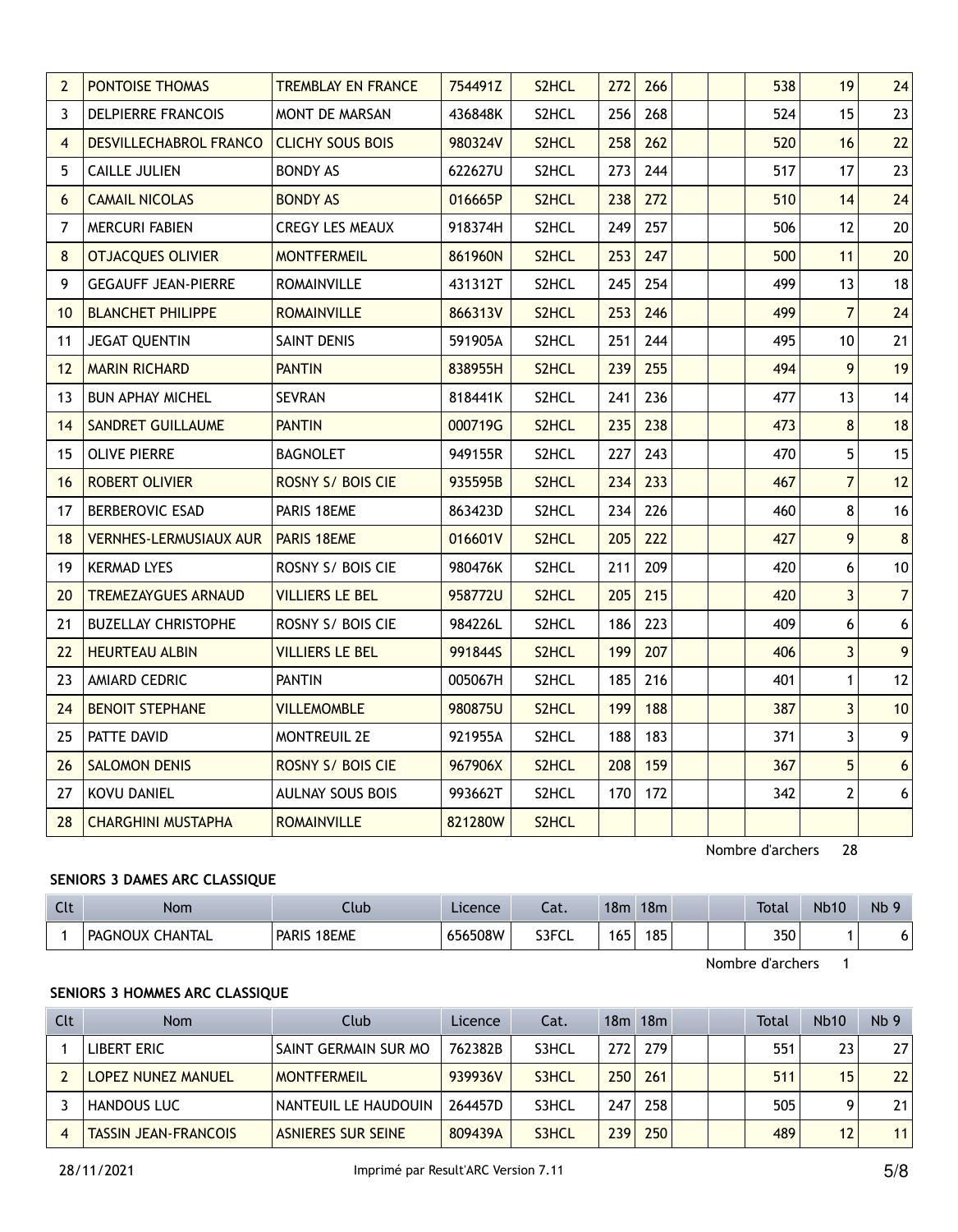| $\overline{2}$  | PONTOISE THOMAS               | <b>TREMBLAY EN FRANCE</b> | 754491Z | S2HCL | 272 | 266 |  | 538 | 19                      | 24               |
|-----------------|-------------------------------|---------------------------|---------|-------|-----|-----|--|-----|-------------------------|------------------|
| 3               | <b>DELPIERRE FRANCOIS</b>     | <b>MONT DE MARSAN</b>     | 436848K | S2HCL | 256 | 268 |  | 524 | 15                      | 23               |
| $\overline{4}$  | <b>DESVILLECHABROL FRANCO</b> | <b>CLICHY SOUS BOIS</b>   | 980324V | S2HCL | 258 | 262 |  | 520 | 16                      | 22               |
| 5               | <b>CAILLE JULIEN</b>          | <b>BONDY AS</b>           | 622627U | S2HCL | 273 | 244 |  | 517 | 17                      | 23               |
| 6               | <b>CAMAIL NICOLAS</b>         | <b>BONDY AS</b>           | 016665P | S2HCL | 238 | 272 |  | 510 | 14                      | 24               |
| 7               | <b>MERCURI FABIEN</b>         | <b>CREGY LES MEAUX</b>    | 918374H | S2HCL | 249 | 257 |  | 506 | 12                      | 20               |
| 8               | <b>OTJACQUES OLIVIER</b>      | <b>MONTFERMEIL</b>        | 861960N | S2HCL | 253 | 247 |  | 500 | 11                      | 20               |
| 9               | <b>GEGAUFF JEAN-PIERRE</b>    | <b>ROMAINVILLE</b>        | 431312T | S2HCL | 245 | 254 |  | 499 | 13                      | 18               |
| 10 <sup>°</sup> | <b>BLANCHET PHILIPPE</b>      | <b>ROMAINVILLE</b>        | 866313V | S2HCL | 253 | 246 |  | 499 | $\overline{7}$          | 24               |
| 11              | <b>JEGAT QUENTIN</b>          | SAINT DENIS               | 591905A | S2HCL | 251 | 244 |  | 495 | 10                      | 21               |
| 12              | <b>MARIN RICHARD</b>          | <b>PANTIN</b>             | 838955H | S2HCL | 239 | 255 |  | 494 | 9                       | 19               |
| 13              | <b>BUN APHAY MICHEL</b>       | <b>SEVRAN</b>             | 818441K | S2HCL | 241 | 236 |  | 477 | 13                      | 14               |
| 14              | <b>SANDRET GUILLAUME</b>      | <b>PANTIN</b>             | 000719G | S2HCL | 235 | 238 |  | 473 | 8                       | 18               |
| 15              | <b>OLIVE PIERRE</b>           | <b>BAGNOLET</b>           | 949155R | S2HCL | 227 | 243 |  | 470 | 5                       | 15               |
| 16              | <b>ROBERT OLIVIER</b>         | ROSNY S/ BOIS CIE         | 935595B | S2HCL | 234 | 233 |  | 467 | $\overline{7}$          | 12               |
| 17              | <b>BERBEROVIC ESAD</b>        | PARIS 18EME               | 863423D | S2HCL | 234 | 226 |  | 460 | 8                       | 16               |
| 18              | <b>VERNHES-LERMUSIAUX AUR</b> | PARIS 18EME               | 016601V | S2HCL | 205 | 222 |  | 427 | 9                       | $\bf 8$          |
| 19              | <b>KERMAD LYES</b>            | ROSNY S/ BOIS CIE         | 980476K | S2HCL | 211 | 209 |  | 420 | 6                       | $10$             |
| 20              | <b>TREMEZAYGUES ARNAUD</b>    | <b>VILLIERS LE BEL</b>    | 958772U | S2HCL | 205 | 215 |  | 420 | $\overline{\mathbf{3}}$ | $\overline{7}$   |
| 21              | <b>BUZELLAY CHRISTOPHE</b>    | ROSNY S/ BOIS CIE         | 984226L | S2HCL | 186 | 223 |  | 409 | 6                       | $6 \overline{6}$ |
| 22              | <b>HEURTEAU ALBIN</b>         | <b>VILLIERS LE BEL</b>    | 991844S | S2HCL | 199 | 207 |  | 406 | $\overline{3}$          | $\overline{9}$   |
| 23              | <b>AMIARD CEDRIC</b>          | <b>PANTIN</b>             | 005067H | S2HCL | 185 | 216 |  | 401 | $\mathbf{1}$            | 12               |
| 24              | <b>BENOIT STEPHANE</b>        | <b>VILLEMOMBLE</b>        | 980875U | S2HCL | 199 | 188 |  | 387 | $\overline{3}$          | 10               |
| 25              | PATTE DAVID                   | <b>MONTREUIL 2E</b>       | 921955A | S2HCL | 188 | 183 |  | 371 | 3                       | 9                |
| 26              | <b>SALOMON DENIS</b>          | ROSNY S/ BOIS CIE         | 967906X | S2HCL | 208 | 159 |  | 367 | 5                       | $\boldsymbol{6}$ |
| 27              | KOVU DANIEL                   | AULNAY SOUS BOIS          | 993662T | S2HCL | 170 | 172 |  | 342 | $\overline{2}$          | $\boldsymbol{6}$ |
| 28              | <b>CHARGHINI MUSTAPHA</b>     | <b>ROMAINVILLE</b>        | 821280W | S2HCL |     |     |  |     |                         |                  |

## **SENIORS 3 DAMES ARC CLASSIQUE**

| $\sim$<br>ิเเ | Nom                  | Club                  | Licence | Cat.  | 18 <sub>m</sub> | 18m |  | <b>Total</b> | <b>Nb10</b> | Nb |
|---------------|----------------------|-----------------------|---------|-------|-----------------|-----|--|--------------|-------------|----|
|               | PAGNOUX<br>' CHANTAL | 18EME<br><b>PARIS</b> | 656508W | S3FCL | 165             | 185 |  | 350          |             |    |

Nombre d'archers 1

#### **SENIORS 3 HOMMES ARC CLASSIQUE**

| <b>Clt</b> | <b>Nom</b>                  | Club                      | Licence | Cat.  |      | $18m$ 18 $m$ |  | Total | <b>Nb10</b> | Nb <sub>9</sub> |
|------------|-----------------------------|---------------------------|---------|-------|------|--------------|--|-------|-------------|-----------------|
|            | LIBERT ERIC                 | SAINT GERMAIN SUR MO      | 762382B | S3HCL | 2721 | 279          |  | 551   | 23          | 27              |
|            | LOPEZ NUNEZ MANUEL          | <b>MONTFERMEIL</b>        | 939936V | S3HCL | 250  | 261          |  | 511   | 15          | 22              |
|            | <b>HANDOUS LUC</b>          | NANTEUIL LE HAUDOUIN      | 264457D | S3HCL | 2471 | 258          |  | 505   |             | 21              |
|            | <b>TASSIN JEAN-FRANCOIS</b> | <b>ASNIERES SUR SEINE</b> | 809439A | S3HCL | 239  | 250          |  | 489   | 12          | 11              |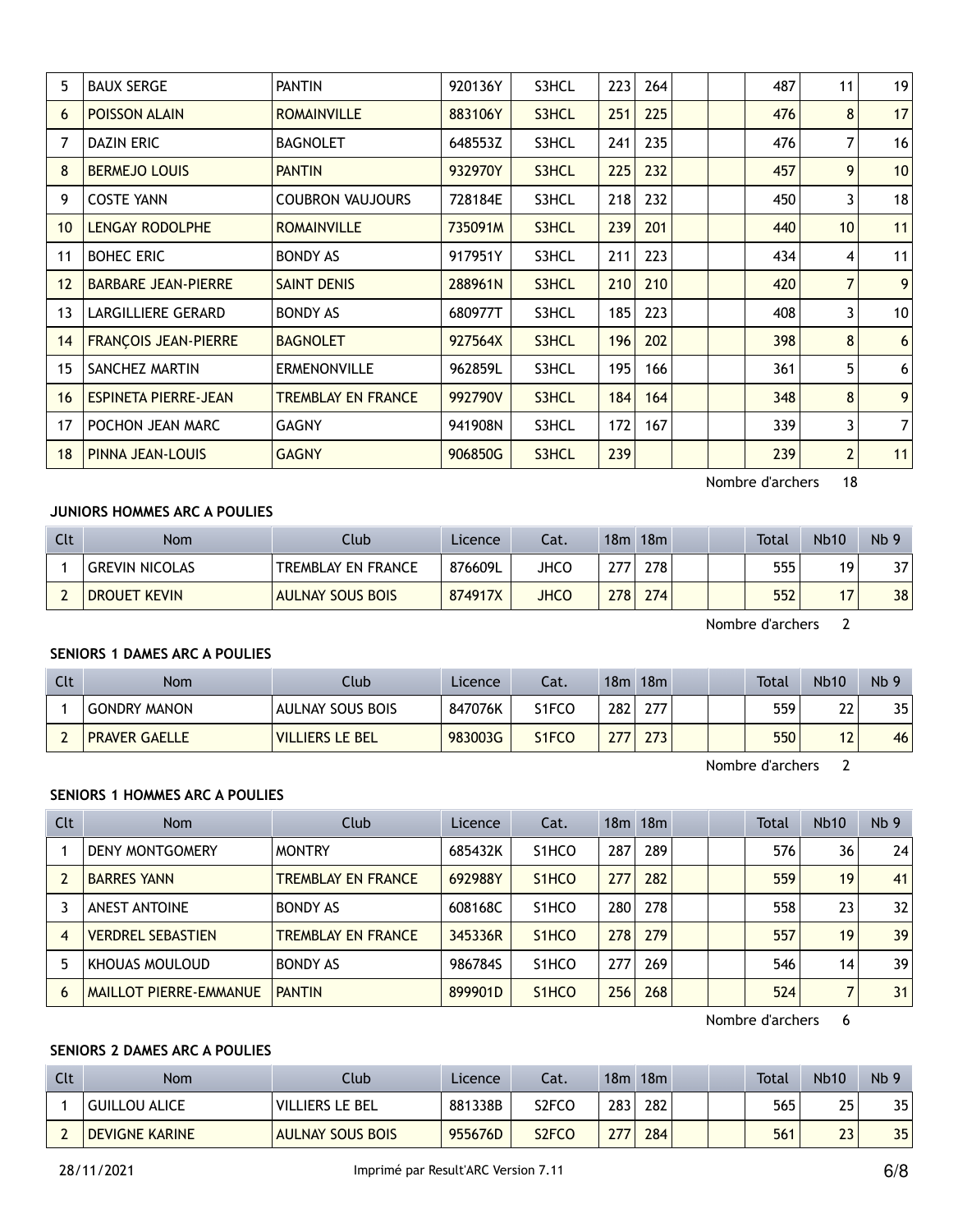| 5  | <b>BAUX SERGE</b>           | <b>PANTIN</b>           | 920136Y | S3HCL | 223 | 264 |  | 487 | 11              | 19 |
|----|-----------------------------|-------------------------|---------|-------|-----|-----|--|-----|-----------------|----|
| 6  | <b>POISSON ALAIN</b>        | <b>ROMAINVILLE</b>      | 883106Y | S3HCL | 251 | 225 |  | 476 | 8               | 17 |
| 7  | <b>DAZIN ERIC</b>           | <b>BAGNOLET</b>         | 648553Z | S3HCL | 241 | 235 |  | 476 | 7               | 16 |
| 8  | <b>BERMEJO LOUIS</b>        | <b>PANTIN</b>           | 932970Y | S3HCL | 225 | 232 |  | 457 | 9               | 10 |
| 9  | <b>COSTE YANN</b>           | <b>COUBRON VAUJOURS</b> | 728184E | S3HCL | 218 | 232 |  | 450 | 3               | 18 |
| 10 | <b>LENGAY RODOLPHE</b>      | <b>ROMAINVILLE</b>      | 735091M | S3HCL | 239 | 201 |  | 440 | 10 <sup>1</sup> | 11 |
| 11 | <b>BOHEC ERIC</b>           | <b>BONDY AS</b>         | 917951Y | S3HCL | 211 | 223 |  | 434 | 4               | 11 |
| 12 | <b>BARBARE JEAN-PIERRE</b>  | <b>SAINT DENIS</b>      | 288961N | S3HCL | 210 | 210 |  | 420 | 7               | 9  |
| 13 | LARGILLIERE GERARD          | <b>BONDY AS</b>         | 680977T | S3HCL | 185 | 223 |  | 408 | 3               | 10 |
| 14 | <b>FRANÇOIS JEAN-PIERRE</b> | <b>BAGNOLET</b>         | 927564X | S3HCL | 196 | 202 |  | 398 | 8               | 6  |
| 15 | SANCHEZ MARTIN              | <b>ERMENONVILLE</b>     | 962859L | S3HCL | 195 | 166 |  | 361 | 5               | 6  |
| 16 | <b>ESPINETA PIERRE-JEAN</b> | TREMBLAY EN FRANCE      | 992790V | S3HCL | 184 | 164 |  | 348 | 8               | 9  |
| 17 | POCHON JEAN MARC            | <b>GAGNY</b>            | 941908N | S3HCL | 172 | 167 |  | 339 | 3               | 7  |
| 18 | <b>PINNA JEAN-LOUIS</b>     | <b>GAGNY</b>            | 906850G | S3HCL | 239 |     |  | 239 | 2               | 11 |
|    |                             |                         |         |       |     |     |  |     |                 |    |

# **JUNIORS HOMMES ARC A POULIES**

| Clt | <b>Nom</b>            | Club                    | Licence | Cat.        | 18m | 18m |  | Total | <b>Nb10</b> | Nb <sub>9</sub> |
|-----|-----------------------|-------------------------|---------|-------------|-----|-----|--|-------|-------------|-----------------|
|     | <b>GREVIN NICOLAS</b> | TREMBLAY EN FRANCE      | 876609L | JHCO        | 777 | 278 |  | 555   | 19          | 37 <sub>1</sub> |
|     | DROUET KEVIN          | <b>AULNAY SOUS BOIS</b> | 874917X | <b>JHCO</b> | 278 | 274 |  | 552   | <b>-</b>    | 38              |

Nombre d'archers 2

#### **SENIORS 1 DAMES ARC A POULIES**

| Clt | Nom                  | Club.                   | Licence | Cat.  | 18 <sub>m</sub> | 18m |  | <b>Total</b> | <b>Nb10</b> | Nb <sub>9</sub> |
|-----|----------------------|-------------------------|---------|-------|-----------------|-----|--|--------------|-------------|-----------------|
|     | <b>GONDRY MANON</b>  | <b>AULNAY SOUS BOIS</b> | 847076K | S1FCO | 282             | 277 |  | 559          | າາ<br>LL    | 35              |
|     | <b>PRAVER GAELLE</b> | <b>VILLIERS LE BEL</b>  | 983003G | S1FCO |                 | 273 |  | 550          | 12          | 46              |

Nombre d'archers 2

#### **SENIORS 1 HOMMES ARC A POULIES**

| <b>Clt</b> | Nom                      | Club                      | Licence | Cat.               |     | 18m 18m |  | <b>Total</b> | <b>Nb10</b> | Nb <sub>9</sub> |
|------------|--------------------------|---------------------------|---------|--------------------|-----|---------|--|--------------|-------------|-----------------|
|            | <b>DENY MONTGOMERY</b>   | <b>MONTRY</b>             | 685432K | S1HCO              | 287 | 289     |  | 576          | 36          | 24              |
|            | <b>BARRES YANN</b>       | <b>TREMBLAY EN FRANCE</b> | 692988Y | S <sub>1</sub> HCO | 277 | 282     |  | 559          | 19          | 41              |
|            | <b>ANEST ANTOINE</b>     | <b>BONDY AS</b>           | 608168C | S1HCO              | 280 | 278     |  | 558          | 23          | 32              |
| 4          | <b>VERDREL SEBASTIEN</b> | <b>TREMBLAY EN FRANCE</b> | 345336R | S <sub>1</sub> HCO | 278 | 279     |  | 557          | 19          | 39              |
|            | KHOUAS MOULOUD           | <b>BONDY AS</b>           | 986784S | S <sub>1</sub> HCO | 277 | 269     |  | 546          | 14          | 39              |
| 6          | MAILLOT PIERRE-EMMANUE   | <b>PANTIN</b>             | 899901D | S <sub>1</sub> HCO | 256 | 268     |  | 524          |             | 31              |

Nombre d'archers 6

## **SENIORS 2 DAMES ARC A POULIES**

| Clt | Nom                   | Club                    | Licence | Cat.  | 18 <sub>m</sub> | 18m |  | Total | <b>Nb10</b> | Nb <sub>9</sub> |
|-----|-----------------------|-------------------------|---------|-------|-----------------|-----|--|-------|-------------|-----------------|
|     | <b>GUILLOU ALICE</b>  | VILLIERS LE BEL         | 881338B | S2FCO | 283             | 282 |  | 565   | 25          | 35 <sub>1</sub> |
|     | <b>DEVIGNE KARINE</b> | <b>AULNAY SOUS BOIS</b> | 955676D | S2FCO | 277             | 284 |  | 561   | 23          | 35 <sub>1</sub> |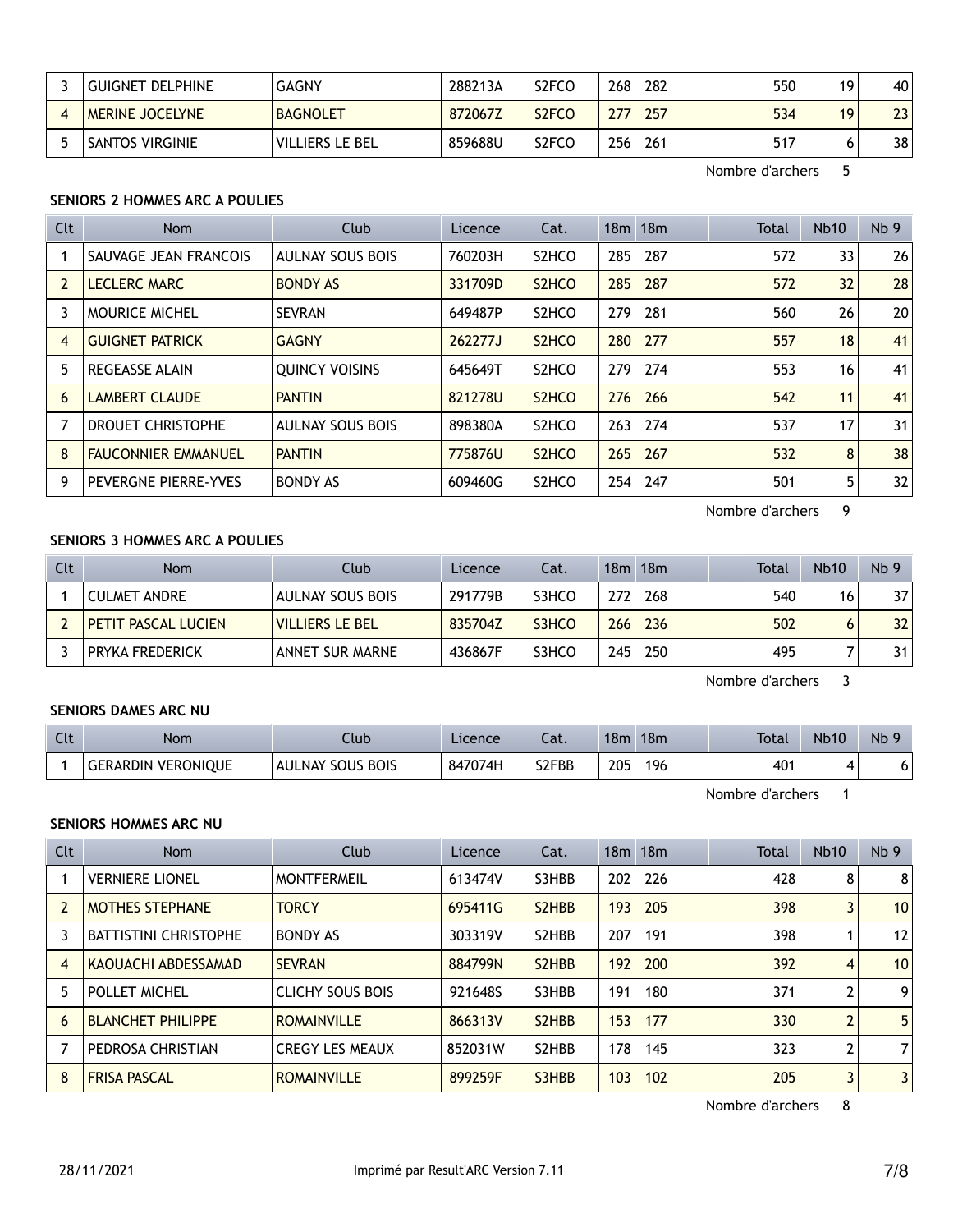| GUIGNET DELPHINE       | <b>GAGNY</b>           | 288213A | S2FCO              | 268 | 282 |  | 550 | 19 | 40              |
|------------------------|------------------------|---------|--------------------|-----|-----|--|-----|----|-----------------|
| <b>MERINE JOCELYNE</b> | <b>BAGNOLET</b>        | 872067Z | S <sub>2</sub> FCO | 277 | 257 |  | 534 | 19 | 23              |
| <b>SANTOS VIRGINIE</b> | <b>VILLIERS LE BEL</b> | 859688U | S <sub>2</sub> FCO | 256 | 261 |  | 517 |    | 38 <sub>1</sub> |

# **SENIORS 2 HOMMES ARC A POULIES**

| <b>Clt</b> | Nom                        | Club                    | Licence | Cat.                           |     | 18m 18m |  | Total | Nb10            | Nb <sub>9</sub> |
|------------|----------------------------|-------------------------|---------|--------------------------------|-----|---------|--|-------|-----------------|-----------------|
|            | SAUVAGE JEAN FRANCOIS      | <b>AULNAY SOUS BOIS</b> | 760203H | S <sub>2</sub> HCO             | 285 | 287     |  | 572   | 33              | 26              |
| 2          | <b>LECLERC MARC</b>        | <b>BONDY AS</b>         | 331709D | S <sub>2</sub> HCO             | 285 | 287     |  | 572   | 32              | 28              |
| 3          | <b>MOURICE MICHEL</b>      | <b>SEVRAN</b>           | 649487P | S <sub>2</sub> HCO             | 279 | 281     |  | 560   | 26              | 20              |
| 4          | <b>GUIGNET PATRICK</b>     | <b>GAGNY</b>            | 262277J | S <sub>2</sub> HC <sub>O</sub> | 280 | 277     |  | 557   | 18              | 41              |
| 5          | <b>REGEASSE ALAIN</b>      | <b>OUINCY VOISINS</b>   | 645649T | S <sub>2</sub> HCO             | 279 | 274     |  | 553   | 16 <sup>1</sup> | 41              |
| 6          | <b>LAMBERT CLAUDE</b>      | <b>PANTIN</b>           | 821278U | S <sub>2</sub> HCO             | 276 | 266     |  | 542   | 11              | 41              |
|            | <b>DROUET CHRISTOPHE</b>   | <b>AULNAY SOUS BOIS</b> | 898380A | S <sub>2</sub> HCO             | 263 | 274     |  | 537   | 17              | 31              |
| 8          | <b>FAUCONNIER EMMANUEL</b> | <b>PANTIN</b>           | 775876U | S <sub>2</sub> HCO             | 265 | 267     |  | 532   | 8               | 38              |
| 9          | PEVERGNE PIERRE-YVES       | <b>BONDY AS</b>         | 609460G | S <sub>2</sub> HC <sub>O</sub> | 254 | 247     |  | 501   | 5               | 32              |

Nombre d'archers 9

## **SENIORS 3 HOMMES ARC A POULIES**

| Clt | Nom                 | Club                   | Licence | Cat.  |      | 18m 18m |  | Total | <b>Nb10</b> | Nb <sub>9</sub> |
|-----|---------------------|------------------------|---------|-------|------|---------|--|-------|-------------|-----------------|
|     | <b>CULMET ANDRE</b> | AULNAY SOUS BOIS       | 291779B | S3HCO | 272  | 268     |  | 540   | 16          | 37 <sup>1</sup> |
|     | PETIT PASCAL LUCIEN | <b>VILLIERS LE BEL</b> | 835704Z | S3HCO | 2661 | 236     |  | 502   | 6           | 32 <sub>1</sub> |
|     | PRYKA FREDERICK     | ANNET SUR MARNE        | 436867F | S3HCO | 245  | 250     |  | 495   |             | 31 <sub>1</sub> |

Nombre d'archers 3

#### **SENIORS DAMES ARC NU**

| Clt | Nom                                 | .lub                       | Licence | $\sim$<br>cal. | 18 <sub>m</sub> | 18 <sub>m</sub> |  | <b>Total</b>    | <b>Nb10</b> | Nb <sub>9</sub> |
|-----|-------------------------------------|----------------------------|---------|----------------|-----------------|-----------------|--|-----------------|-------------|-----------------|
|     | <b>VERONIOUE</b><br><b>GERARDIN</b> | <b>BOIS</b><br>AULNAY SOUS | 847074H | S2FBB          | 205             | 196             |  | 40 <sup>1</sup> |             | ס               |

Nombre d'archers 1

#### **SENIORS HOMMES ARC NU**

| <b>Clt</b> | Nom                          | Club                    | Licence | Cat.                            |     | 18m 18m |  | <b>Total</b> | <b>Nb10</b>    | Nb <sub>9</sub>   |
|------------|------------------------------|-------------------------|---------|---------------------------------|-----|---------|--|--------------|----------------|-------------------|
|            | <b>VERNIERE LIONEL</b>       | <b>MONTFERMEIL</b>      | 613474V | S3HBB                           | 202 | 226     |  | 428          | 8              | 8                 |
|            | <b>MOTHES STEPHANE</b>       | <b>TORCY</b>            | 695411G | S <sub>2</sub> H <sub>BB</sub>  | 193 | 205     |  | 398          | 3              | 10 <sup>°</sup>   |
|            | <b>BATTISTINI CHRISTOPHE</b> | <b>BONDY AS</b>         | 303319V | S <sub>2</sub> H <sub>B</sub> B | 207 | 191     |  | 398          |                | $12 \overline{ }$ |
| 4          | KAOUACHI ABDESSAMAD          | <b>SEVRAN</b>           | 884799N | S <sub>2</sub> H <sub>B</sub> B | 192 | 200     |  | 392          | 4              | 10                |
| 5          | POLLET MICHEL                | <b>CLICHY SOUS BOIS</b> | 921648S | S3HBB                           | 191 | 180     |  | 371          | 2              | 9                 |
| 6          | <b>BLANCHET PHILIPPE</b>     | <b>ROMAINVILLE</b>      | 866313V | S <sub>2</sub> H <sub>B</sub> B | 153 | 177     |  | 330          | $\overline{2}$ | 5                 |
|            | PEDROSA CHRISTIAN            | <b>CREGY LES MEAUX</b>  | 852031W | S <sub>2</sub> H <sub>B</sub> B | 178 | 145     |  | 323          | 2              | 7                 |
| 8          | <b>FRISA PASCAL</b>          | <b>ROMAINVILLE</b>      | 899259F | S3HBB                           | 103 | 102     |  | 205          | 3              | $\mathbf{3}$      |

Nombre d'archers 8